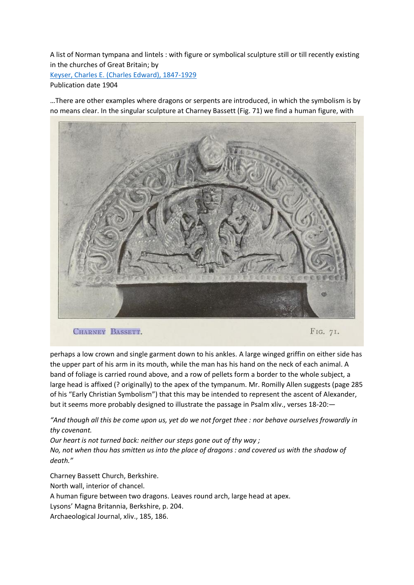A list of Norman tympana and lintels : with figure or symbolical sculpture still or till recently existing in the churches of Great Britain; by

[Keyser, Charles E. \(Charles Edward\), 1847-1929](https://archive.org/search.php?query=creator%3A%22Keyser%2C+Charles+E.+%28Charles+Edward%29%2C+1847-1929%22) Publication date [1904](https://archive.org/search.php?query=date:1904)

…There are other examples where dragons or serpents are introduced, in which the symbolism is by no means clear. In the singular sculpture at Charney Bassett (Fig. 71) we find a human figure, with



CHARNEY BASSETT.

perhaps a low crown and single garment down to his ankles. A large winged griffin on either side has the upper part of his arm in its mouth, while the man has his hand on the neck of each animal. A band of foliage is carried round above, and a row of pellets form a border to the whole subject, a large head is affixed (? originally) to the apex of the tympanum. Mr. Romilly Allen suggests (page 285 of his "Early Christian Symbolism") that this may be intended to represent the ascent of Alexander, but it seems more probably designed to illustrate the passage in Psalm xliv., verses 18-20:—

*"And though all this be come upon us, yet do we not forget thee : nor behave ourselves frowardly in thy covenant.*

*Our heart is not turned back: neither our steps gone out of thy way ;*

*No, not when thou has smitten us into the place of dragons : and covered us with the shadow of death."*

Charney Bassett Church, Berkshire. North wall, interior of chancel. A human figure between two dragons. Leaves round arch, large head at apex. Lysons' Magna Britannia, Berkshire, p. 204. Archaeological Journal, xliv., 185, 186.

FIG. 71.